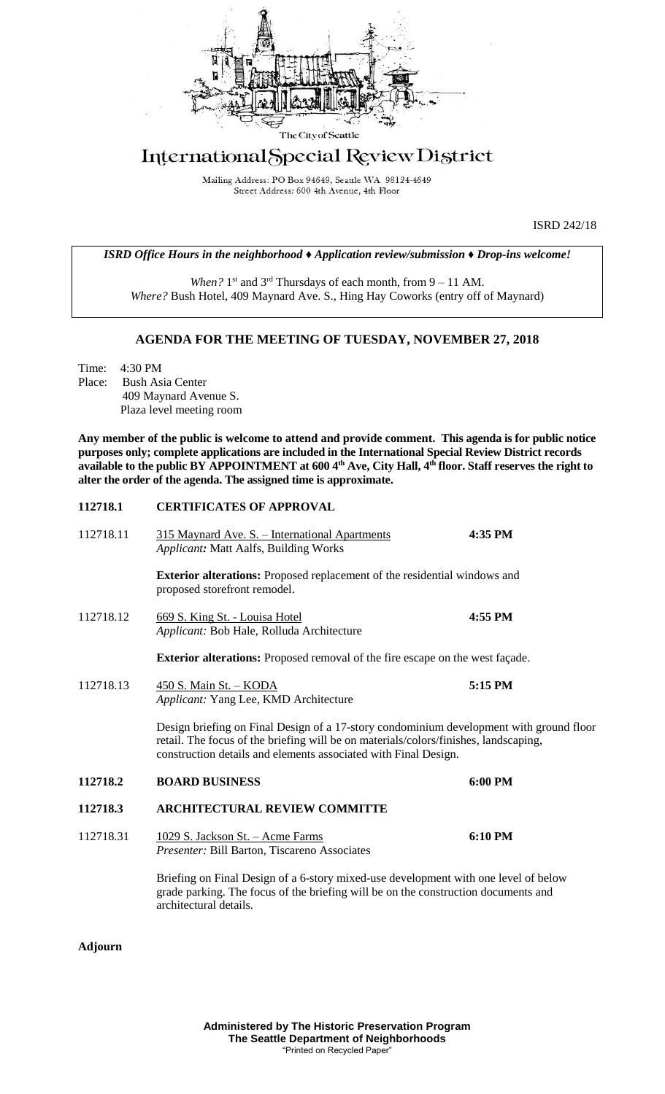

# International Special Review District

Mailing Address: PO Box 94649, Seattle WA 98124-4649 Street Address: 600 4th Avenue, 4th Floor

ISRD 242/18

*ISRD Office Hours in the neighborhood ♦ Application review/submission ♦ Drop-ins welcome!*

When? 1<sup>st</sup> and 3<sup>rd</sup> Thursdays of each month, from 9 – 11 AM. *Where?* Bush Hotel, 409 Maynard Ave. S., Hing Hay Coworks (entry off of Maynard)

### **AGENDA FOR THE MEETING OF TUESDAY, NOVEMBER 27, 2018**

Time: 4:30 PM Place: Bush Asia Center 409 Maynard Avenue S. Plaza level meeting room

**Any member of the public is welcome to attend and provide comment. This agenda is for public notice purposes only; complete applications are included in the International Special Review District records available to the public BY APPOINTMENT at 600 4th Ave, City Hall, 4th floor. Staff reserves the right to alter the order of the agenda. The assigned time is approximate.** 

#### **112718.1 CERTIFICATES OF APPROVAL**

| 112718.11 | 315 Maynard Ave. S. - International Apartments<br>Applicant: Matt Aalfs, Building Works                                                                                                                                                            | 4:35 PM |
|-----------|----------------------------------------------------------------------------------------------------------------------------------------------------------------------------------------------------------------------------------------------------|---------|
|           | <b>Exterior alterations:</b> Proposed replacement of the residential windows and<br>proposed storefront remodel.                                                                                                                                   |         |
| 112718.12 | 669 S. King St. - Louisa Hotel<br>Applicant: Bob Hale, Rolluda Architecture                                                                                                                                                                        | 4:55 PM |
|           | <b>Exterior alterations:</b> Proposed removal of the fire escape on the west façade.                                                                                                                                                               |         |
| 112718.13 | 450 S. Main St. - KODA<br>Applicant: Yang Lee, KMD Architecture                                                                                                                                                                                    | 5:15 PM |
|           | Design briefing on Final Design of a 17-story condominium development with ground floor<br>retail. The focus of the briefing will be on materials/colors/finishes, landscaping,<br>construction details and elements associated with Final Design. |         |
| 112718.2  | <b>BOARD BUSINESS</b>                                                                                                                                                                                                                              | 6:00 PM |
| 112718.3  | <b>ARCHITECTURAL REVIEW COMMITTE</b>                                                                                                                                                                                                               |         |
| 112718.31 | <u> 1029 S. Jackson St. – Acme Farms</u><br>Presenter: Bill Barton, Tiscareno Associates                                                                                                                                                           | 6:10 PM |
|           | Briefing on Final Design of a 6-story mixed-use development with one level of below<br>grade parking. The focus of the briefing will be on the construction documents and<br>architectural details.                                                |         |

**Adjourn**